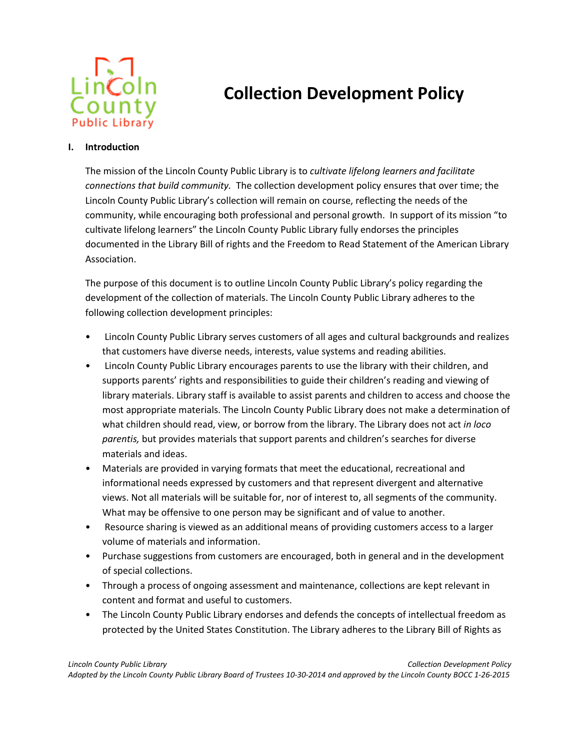

# **Collection Development Policy**

# **I. Introduction**

The mission of the Lincoln County Public Library is to *cultivate lifelong learners and facilitate connections that build community.* The collection development policy ensures that over time; the Lincoln County Public Library's collection will remain on course, reflecting the needs of the community, while encouraging both professional and personal growth. In support of its mission "to cultivate lifelong learners" the Lincoln County Public Library fully endorses the principles documented in the Library Bill of rights and the Freedom to Read Statement of the American Library Association.

The purpose of this document is to outline Lincoln County Public Library's policy regarding the development of the collection of materials. The Lincoln County Public Library adheres to the following collection development principles:

- Lincoln County Public Library serves customers of all ages and cultural backgrounds and realizes that customers have diverse needs, interests, value systems and reading abilities.
- Lincoln County Public Library encourages parents to use the library with their children, and supports parents' rights and responsibilities to guide their children's reading and viewing of library materials. Library staff is available to assist parents and children to access and choose the most appropriate materials. The Lincoln County Public Library does not make a determination of what children should read, view, or borrow from the library. The Library does not act *in loco parentis,* but provides materials that support parents and children's searches for diverse materials and ideas.
- Materials are provided in varying formats that meet the educational, recreational and informational needs expressed by customers and that represent divergent and alternative views. Not all materials will be suitable for, nor of interest to, all segments of the community. What may be offensive to one person may be significant and of value to another.
- Resource sharing is viewed as an additional means of providing customers access to a larger volume of materials and information.
- Purchase suggestions from customers are encouraged, both in general and in the development of special collections.
- Through a process of ongoing assessment and maintenance, collections are kept relevant in content and format and useful to customers.
- The Lincoln County Public Library endorses and defends the concepts of intellectual freedom as protected by the United States Constitution. The Library adheres to the Library Bill of Rights as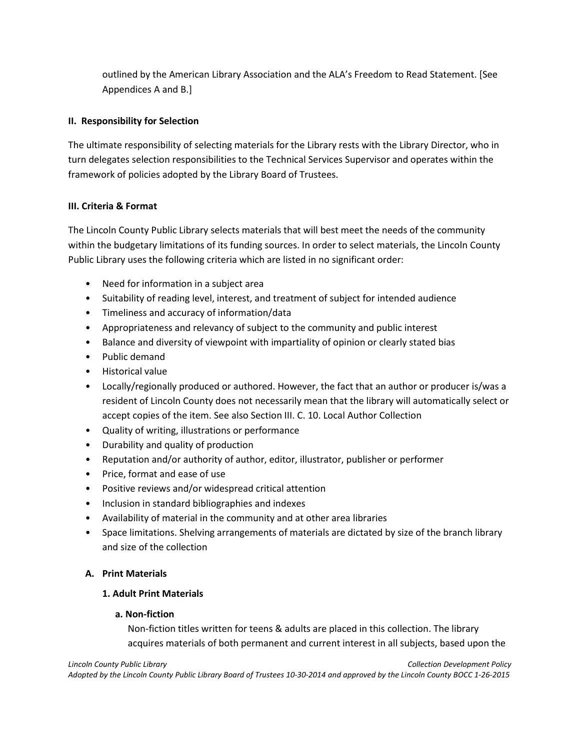outlined by the American Library Association and the ALA's Freedom to Read Statement. [See Appendices A and B.]

# **II. Responsibility for Selection**

The ultimate responsibility of selecting materials for the Library rests with the Library Director, who in turn delegates selection responsibilities to the Technical Services Supervisor and operates within the framework of policies adopted by the Library Board of Trustees.

# **III. Criteria & Format**

The Lincoln County Public Library selects materials that will best meet the needs of the community within the budgetary limitations of its funding sources. In order to select materials, the Lincoln County Public Library uses the following criteria which are listed in no significant order:

- Need for information in a subject area
- Suitability of reading level, interest, and treatment of subject for intended audience
- Timeliness and accuracy of information/data
- Appropriateness and relevancy of subject to the community and public interest
- Balance and diversity of viewpoint with impartiality of opinion or clearly stated bias
- Public demand
- Historical value
- Locally/regionally produced or authored. However, the fact that an author or producer is/was a resident of Lincoln County does not necessarily mean that the library will automatically select or accept copies of the item. See also Section III. C. 10. Local Author Collection
- Quality of writing, illustrations or performance
- Durability and quality of production
- Reputation and/or authority of author, editor, illustrator, publisher or performer
- Price, format and ease of use
- Positive reviews and/or widespread critical attention
- Inclusion in standard bibliographies and indexes
- Availability of material in the community and at other area libraries
- Space limitations. Shelving arrangements of materials are dictated by size of the branch library and size of the collection

# **A. Print Materials**

# **1. Adult Print Materials**

# **a. Non‐fiction**

Non-fiction titles written for teens & adults are placed in this collection. The library acquires materials of both permanent and current interest in all subjects, based upon the

*Lincoln County Public Library Collection Development Policy*

*Adopted by the Lincoln County Public Library Board of Trustees 10‐30‐2014 and approved by the Lincoln County BOCC 1-26-2015*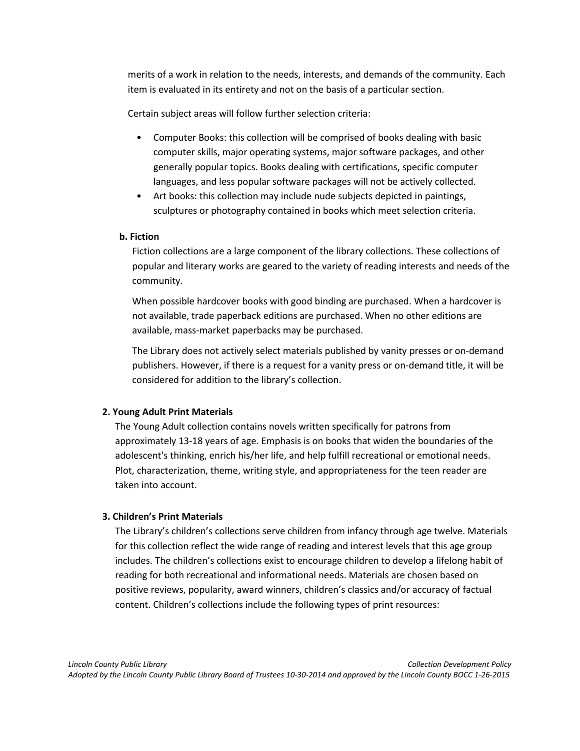merits of a work in relation to the needs, interests, and demands of the community. Each item is evaluated in its entirety and not on the basis of a particular section.

Certain subject areas will follow further selection criteria:

- Computer Books: this collection will be comprised of books dealing with basic computer skills, major operating systems, major software packages, and other generally popular topics. Books dealing with certifications, specific computer languages, and less popular software packages will not be actively collected.
- Art books: this collection may include nude subjects depicted in paintings, sculptures or photography contained in books which meet selection criteria.

## **b. Fiction**

Fiction collections are a large component of the library collections. These collections of popular and literary works are geared to the variety of reading interests and needs of the community.

When possible hardcover books with good binding are purchased. When a hardcover is not available, trade paperback editions are purchased. When no other editions are available, mass‐market paperbacks may be purchased.

The Library does not actively select materials published by vanity presses or on‐demand publishers. However, if there is a request for a vanity press or on‐demand title, it will be considered for addition to the library's collection.

## **2. Young Adult Print Materials**

The Young Adult collection contains novels written specifically for patrons from approximately 13‐18 years of age. Emphasis is on books that widen the boundaries of the adolescent's thinking, enrich his/her life, and help fulfill recreational or emotional needs. Plot, characterization, theme, writing style, and appropriateness for the teen reader are taken into account.

## **3. Children's Print Materials**

The Library's children's collections serve children from infancy through age twelve. Materials for this collection reflect the wide range of reading and interest levels that this age group includes. The children's collections exist to encourage children to develop a lifelong habit of reading for both recreational and informational needs. Materials are chosen based on positive reviews, popularity, award winners, children's classics and/or accuracy of factual content. Children's collections include the following types of print resources: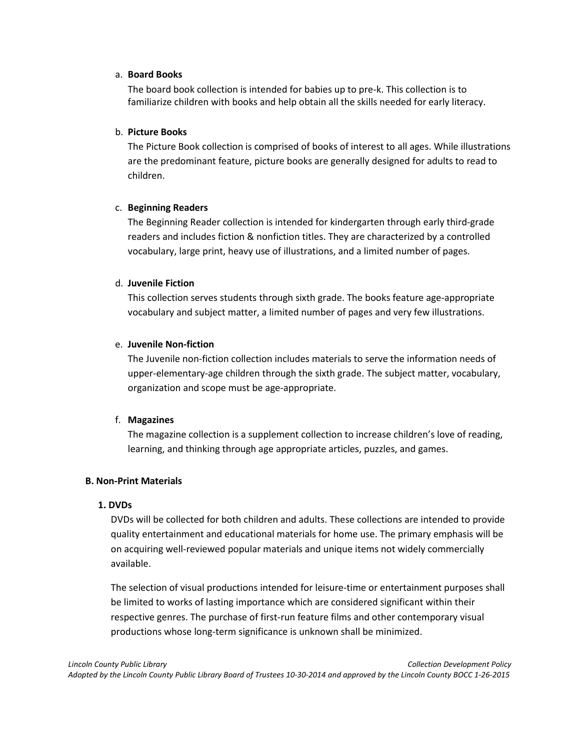## a. **Board Books**

The board book collection is intended for babies up to pre-k. This collection is to familiarize children with books and help obtain all the skills needed for early literacy.

# b. **Picture Books**

The Picture Book collection is comprised of books of interest to all ages. While illustrations are the predominant feature, picture books are generally designed for adults to read to children.

# c. **Beginning Readers**

The Beginning Reader collection is intended for kindergarten through early third‐grade readers and includes fiction & nonfiction titles. They are characterized by a controlled vocabulary, large print, heavy use of illustrations, and a limited number of pages.

# d. **Juvenile Fiction**

This collection serves students through sixth grade. The books feature age‐appropriate vocabulary and subject matter, a limited number of pages and very few illustrations.

# e. **Juvenile Non‐fiction**

The Juvenile non‐fiction collection includes materials to serve the information needs of upper-elementary-age children through the sixth grade. The subject matter, vocabulary, organization and scope must be age‐appropriate.

# f. **Magazines**

The magazine collection is a supplement collection to increase children's love of reading, learning, and thinking through age appropriate articles, puzzles, and games.

## **B. Non‐Print Materials**

## **1. DVDs**

DVDs will be collected for both children and adults. These collections are intended to provide quality entertainment and educational materials for home use. The primary emphasis will be on acquiring well‐reviewed popular materials and unique items not widely commercially available.

The selection of visual productions intended for leisure‐time or entertainment purposes shall be limited to works of lasting importance which are considered significant within their respective genres. The purchase of first-run feature films and other contemporary visual productions whose long‐term significance is unknown shall be minimized.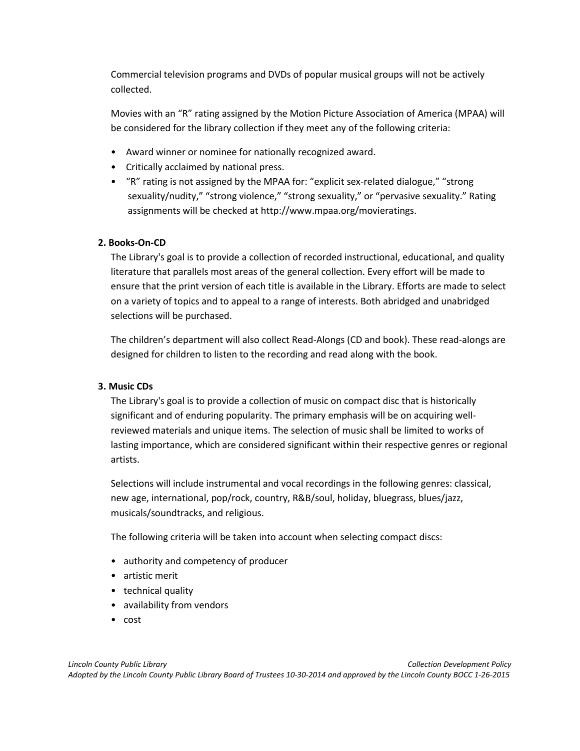Commercial television programs and DVDs of popular musical groups will not be actively collected.

Movies with an "R" rating assigned by the Motion Picture Association of America (MPAA) will be considered for the library collection if they meet any of the following criteria:

- Award winner or nominee for nationally recognized award.
- Critically acclaimed by national press.
- "R" rating is not assigned by the MPAA for: "explicit sex-related dialogue," "strong sexuality/nudity," "strong violence," "strong sexuality," or "pervasive sexuality." Rating assignments will be checked at http://www.mpaa.org/movieratings.

# **2. Books‐On‐CD**

The Library's goal is to provide a collection of recorded instructional, educational, and quality literature that parallels most areas of the general collection. Every effort will be made to ensure that the print version of each title is available in the Library. Efforts are made to select on a variety of topics and to appeal to a range of interests. Both abridged and unabridged selections will be purchased.

The children's department will also collect Read‐Alongs (CD and book). These read‐alongs are designed for children to listen to the recording and read along with the book.

# **3. Music CDs**

The Library's goal is to provide a collection of music on compact disc that is historically significant and of enduring popularity. The primary emphasis will be on acquiring well‐ reviewed materials and unique items. The selection of music shall be limited to works of lasting importance, which are considered significant within their respective genres or regional artists.

Selections will include instrumental and vocal recordings in the following genres: classical, new age, international, pop/rock, country, R&B/soul, holiday, bluegrass, blues/jazz, musicals/soundtracks, and religious.

The following criteria will be taken into account when selecting compact discs:

- authority and competency of producer
- artistic merit
- technical quality
- availability from vendors
- cost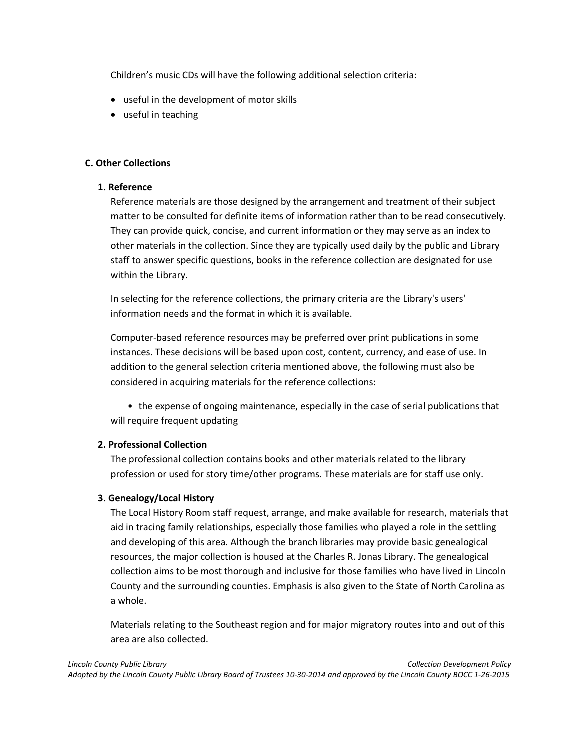Children's music CDs will have the following additional selection criteria:

- useful in the development of motor skills
- useful in teaching

# **C. Other Collections**

# **1. Reference**

Reference materials are those designed by the arrangement and treatment of their subject matter to be consulted for definite items of information rather than to be read consecutively. They can provide quick, concise, and current information or they may serve as an index to other materials in the collection. Since they are typically used daily by the public and Library staff to answer specific questions, books in the reference collection are designated for use within the Library.

In selecting for the reference collections, the primary criteria are the Library's users' information needs and the format in which it is available.

Computer‐based reference resources may be preferred over print publications in some instances. These decisions will be based upon cost, content, currency, and ease of use. In addition to the general selection criteria mentioned above, the following must also be considered in acquiring materials for the reference collections:

• the expense of ongoing maintenance, especially in the case of serial publications that will require frequent updating

# **2. Professional Collection**

The professional collection contains books and other materials related to the library profession or used for story time/other programs. These materials are for staff use only.

# **3. Genealogy/Local History**

The Local History Room staff request, arrange, and make available for research, materials that aid in tracing family relationships, especially those families who played a role in the settling and developing of this area. Although the branch libraries may provide basic genealogical resources, the major collection is housed at the Charles R. Jonas Library. The genealogical collection aims to be most thorough and inclusive for those families who have lived in Lincoln County and the surrounding counties. Emphasis is also given to the State of North Carolina as a whole.

Materials relating to the Southeast region and for major migratory routes into and out of this area are also collected.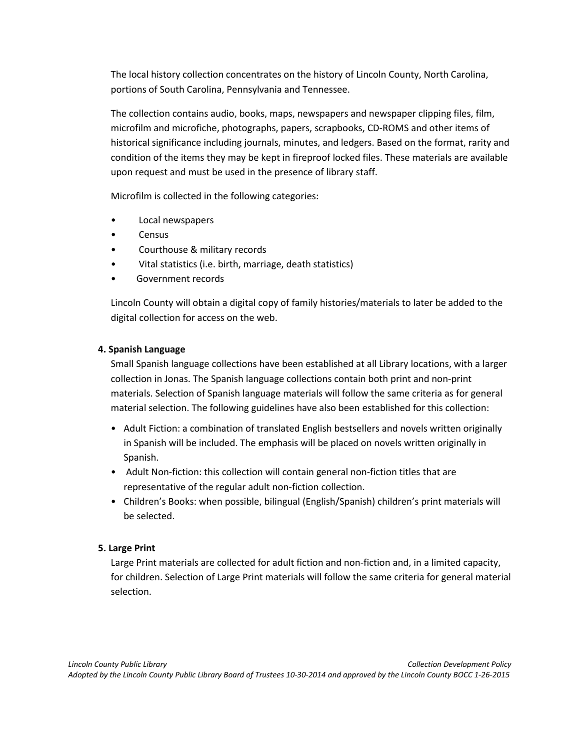The local history collection concentrates on the history of Lincoln County, North Carolina, portions of South Carolina, Pennsylvania and Tennessee.

The collection contains audio, books, maps, newspapers and newspaper clipping files, film, microfilm and microfiche, photographs, papers, scrapbooks, CD‐ROMS and other items of historical significance including journals, minutes, and ledgers. Based on the format, rarity and condition of the items they may be kept in fireproof locked files. These materials are available upon request and must be used in the presence of library staff.

Microfilm is collected in the following categories:

- Local newspapers
- Census
- Courthouse & military records
- Vital statistics (i.e. birth, marriage, death statistics)
- Government records

Lincoln County will obtain a digital copy of family histories/materials to later be added to the digital collection for access on the web.

# **4. Spanish Language**

Small Spanish language collections have been established at all Library locations, with a larger collection in Jonas. The Spanish language collections contain both print and non‐print materials. Selection of Spanish language materials will follow the same criteria as for general material selection. The following guidelines have also been established for this collection:

- Adult Fiction: a combination of translated English bestsellers and novels written originally in Spanish will be included. The emphasis will be placed on novels written originally in Spanish.
- Adult Non-fiction: this collection will contain general non-fiction titles that are representative of the regular adult non‐fiction collection.
- Children's Books: when possible, bilingual (English/Spanish) children's print materials will be selected.

# **5. Large Print**

Large Print materials are collected for adult fiction and non‐fiction and, in a limited capacity, for children. Selection of Large Print materials will follow the same criteria for general material selection.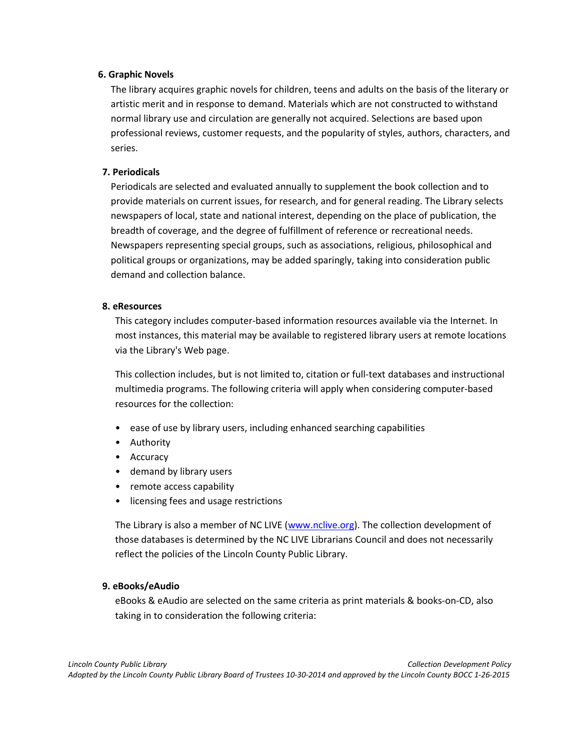# **6. Graphic Novels**

The library acquires graphic novels for children, teens and adults on the basis of the literary or artistic merit and in response to demand. Materials which are not constructed to withstand normal library use and circulation are generally not acquired. Selections are based upon professional reviews, customer requests, and the popularity of styles, authors, characters, and series.

# **7. Periodicals**

Periodicals are selected and evaluated annually to supplement the book collection and to provide materials on current issues, for research, and for general reading. The Library selects newspapers of local, state and national interest, depending on the place of publication, the breadth of coverage, and the degree of fulfillment of reference or recreational needs. Newspapers representing special groups, such as associations, religious, philosophical and political groups or organizations, may be added sparingly, taking into consideration public demand and collection balance.

## **8. eResources**

This category includes computer‐based information resources available via the Internet. In most instances, this material may be available to registered library users at remote locations via the Library's Web page.

This collection includes, but is not limited to, citation or full‐text databases and instructional multimedia programs. The following criteria will apply when considering computer‐based resources for the collection:

- ease of use by library users, including enhanced searching capabilities
- Authority
- Accuracy
- demand by library users
- remote access capability
- licensing fees and usage restrictions

The Library is also a member of NC LIVE [\(www.nclive.org\)](http://www.nclive.org/). The collection development of those databases is determined by the NC LIVE Librarians Council and does not necessarily reflect the policies of the Lincoln County Public Library.

# **9. eBooks/eAudio**

eBooks & eAudio are selected on the same criteria as print materials & books‐on‐CD, also taking in to consideration the following criteria: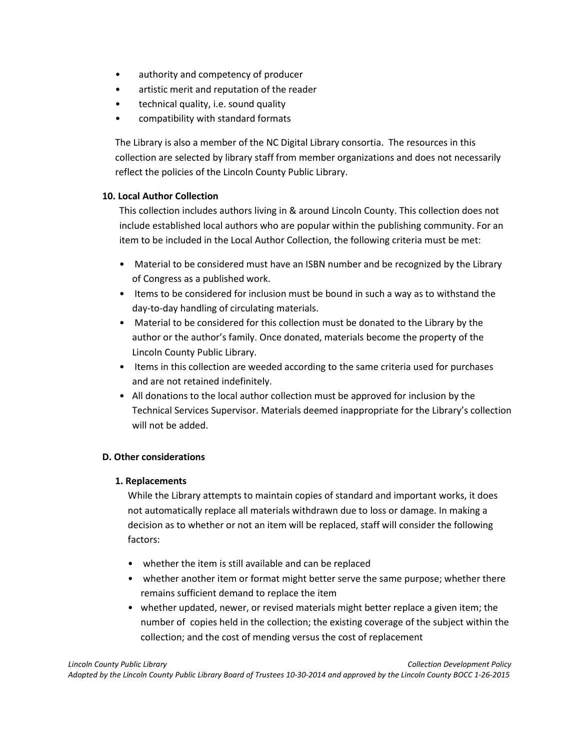- authority and competency of producer
- artistic merit and reputation of the reader
- technical quality, i.e. sound quality
- compatibility with standard formats

The Library is also a member of the NC Digital Library consortia. The resources in this collection are selected by library staff from member organizations and does not necessarily reflect the policies of the Lincoln County Public Library.

# **10. Local Author Collection**

This collection includes authors living in & around Lincoln County. This collection does not include established local authors who are popular within the publishing community. For an item to be included in the Local Author Collection, the following criteria must be met:

- Material to be considered must have an ISBN number and be recognized by the Library of Congress as a published work.
- Items to be considered for inclusion must be bound in such a way as to withstand the day‐to‐day handling of circulating materials.
- Material to be considered for this collection must be donated to the Library by the author or the author's family. Once donated, materials become the property of the Lincoln County Public Library.
- Items in this collection are weeded according to the same criteria used for purchases and are not retained indefinitely.
- All donations to the local author collection must be approved for inclusion by the Technical Services Supervisor. Materials deemed inappropriate for the Library's collection will not be added.

# **D. Other considerations**

# **1. Replacements**

While the Library attempts to maintain copies of standard and important works, it does not automatically replace all materials withdrawn due to loss or damage. In making a decision as to whether or not an item will be replaced, staff will consider the following factors:

- whether the item is still available and can be replaced
- whether another item or format might better serve the same purpose; whether there remains sufficient demand to replace the item
- whether updated, newer, or revised materials might better replace a given item; the number of copies held in the collection; the existing coverage of the subject within the collection; and the cost of mending versus the cost of replacement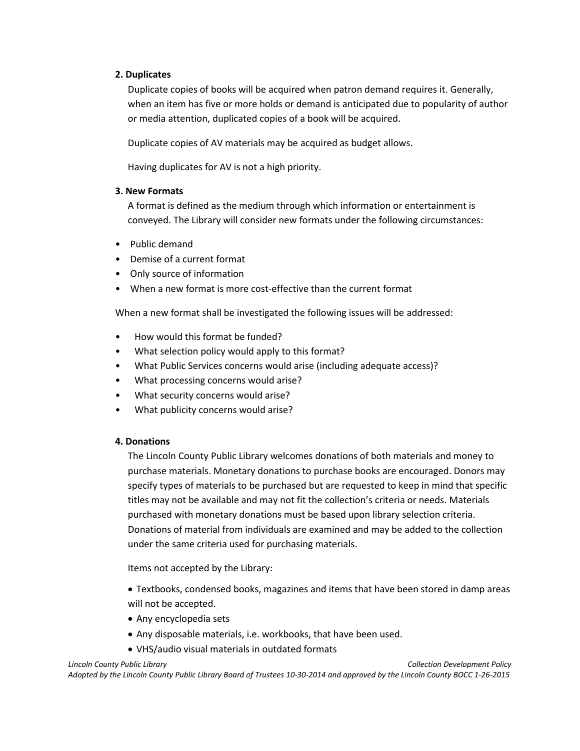# **2. Duplicates**

Duplicate copies of books will be acquired when patron demand requires it. Generally, when an item has five or more holds or demand is anticipated due to popularity of author or media attention, duplicated copies of a book will be acquired.

Duplicate copies of AV materials may be acquired as budget allows.

Having duplicates for AV is not a high priority.

# **3. New Formats**

A format is defined as the medium through which information or entertainment is conveyed. The Library will consider new formats under the following circumstances:

- Public demand
- Demise of a current format
- Only source of information
- When a new format is more cost-effective than the current format

When a new format shall be investigated the following issues will be addressed:

- How would this format be funded?
- What selection policy would apply to this format?
- What Public Services concerns would arise (including adequate access)?
- What processing concerns would arise?
- What security concerns would arise?
- What publicity concerns would arise?

# **4. Donations**

The Lincoln County Public Library welcomes donations of both materials and money to purchase materials. Monetary donations to purchase books are encouraged. Donors may specify types of materials to be purchased but are requested to keep in mind that specific titles may not be available and may not fit the collection's criteria or needs. Materials purchased with monetary donations must be based upon library selection criteria. Donations of material from individuals are examined and may be added to the collection under the same criteria used for purchasing materials.

Items not accepted by the Library:

 Textbooks, condensed books, magazines and items that have been stored in damp areas will not be accepted.

- Any encyclopedia sets
- Any disposable materials, i.e. workbooks, that have been used.
- VHS/audio visual materials in outdated formats

*Lincoln County Public Library Collection Development Policy*

*Adopted by the Lincoln County Public Library Board of Trustees 10‐30‐2014 and approved by the Lincoln County BOCC 1-26-2015*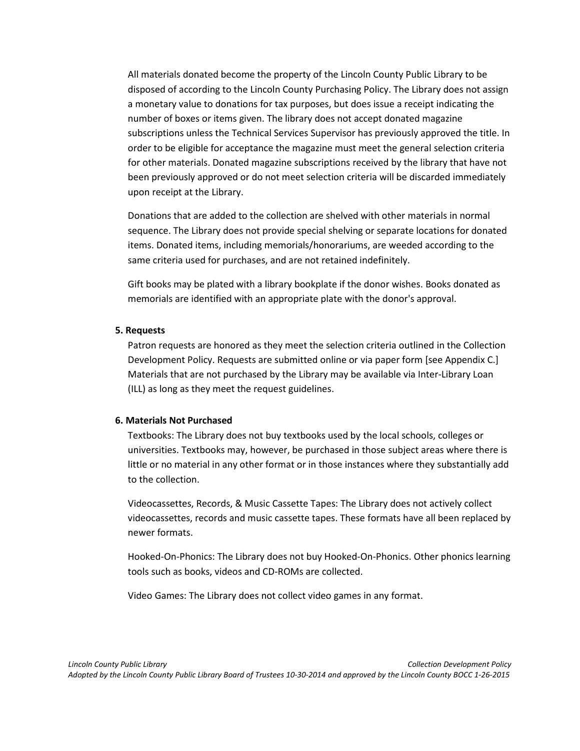All materials donated become the property of the Lincoln County Public Library to be disposed of according to the Lincoln County Purchasing Policy. The Library does not assign a monetary value to donations for tax purposes, but does issue a receipt indicating the number of boxes or items given. The library does not accept donated magazine subscriptions unless the Technical Services Supervisor has previously approved the title. In order to be eligible for acceptance the magazine must meet the general selection criteria for other materials. Donated magazine subscriptions received by the library that have not been previously approved or do not meet selection criteria will be discarded immediately upon receipt at the Library.

Donations that are added to the collection are shelved with other materials in normal sequence. The Library does not provide special shelving or separate locations for donated items. Donated items, including memorials/honorariums, are weeded according to the same criteria used for purchases, and are not retained indefinitely.

Gift books may be plated with a library bookplate if the donor wishes. Books donated as memorials are identified with an appropriate plate with the donor's approval.

#### **5. Requests**

Patron requests are honored as they meet the selection criteria outlined in the Collection Development Policy. Requests are submitted online or via paper form [see Appendix C.] Materials that are not purchased by the Library may be available via Inter‐Library Loan (ILL) as long as they meet the request guidelines.

#### **6. Materials Not Purchased**

Textbooks: The Library does not buy textbooks used by the local schools, colleges or universities. Textbooks may, however, be purchased in those subject areas where there is little or no material in any other format or in those instances where they substantially add to the collection.

Videocassettes, Records, & Music Cassette Tapes: The Library does not actively collect videocassettes, records and music cassette tapes. These formats have all been replaced by newer formats.

Hooked‐On‐Phonics: The Library does not buy Hooked‐On‐Phonics. Other phonics learning tools such as books, videos and CD‐ROMs are collected.

Video Games: The Library does not collect video games in any format.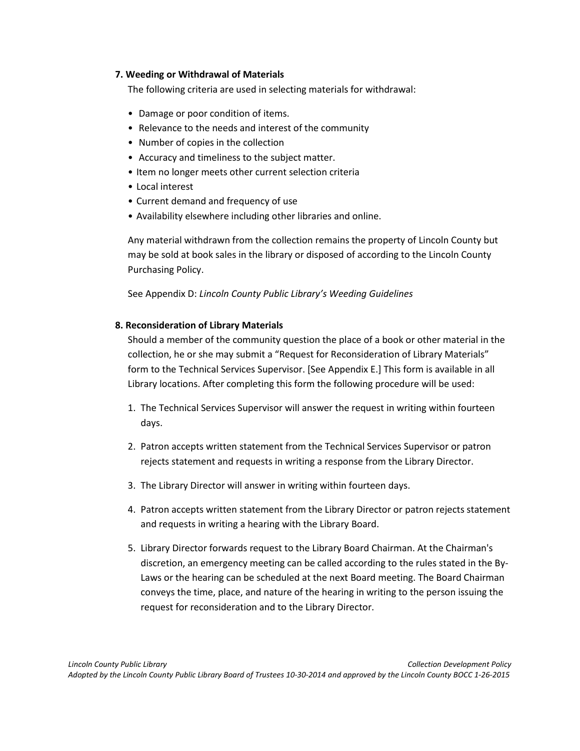## **7. Weeding or Withdrawal of Materials**

The following criteria are used in selecting materials for withdrawal:

- Damage or poor condition of items.
- Relevance to the needs and interest of the community
- Number of copies in the collection
- Accuracy and timeliness to the subject matter.
- Item no longer meets other current selection criteria
- Local interest
- Current demand and frequency of use
- Availability elsewhere including other libraries and online.

Any material withdrawn from the collection remains the property of Lincoln County but may be sold at book sales in the library or disposed of according to the Lincoln County Purchasing Policy.

See Appendix D: *Lincoln County Public Library's Weeding Guidelines*

# **8. Reconsideration of Library Materials**

Should a member of the community question the place of a book or other material in the collection, he or she may submit a "Request for Reconsideration of Library Materials" form to the Technical Services Supervisor. [See Appendix E.] This form is available in all Library locations. After completing this form the following procedure will be used:

- 1. The Technical Services Supervisor will answer the request in writing within fourteen days.
- 2. Patron accepts written statement from the Technical Services Supervisor or patron rejects statement and requests in writing a response from the Library Director.
- 3. The Library Director will answer in writing within fourteen days.
- 4. Patron accepts written statement from the Library Director or patron rejects statement and requests in writing a hearing with the Library Board.
- 5. Library Director forwards request to the Library Board Chairman. At the Chairman's discretion, an emergency meeting can be called according to the rules stated in the By‐ Laws or the hearing can be scheduled at the next Board meeting. The Board Chairman conveys the time, place, and nature of the hearing in writing to the person issuing the request for reconsideration and to the Library Director.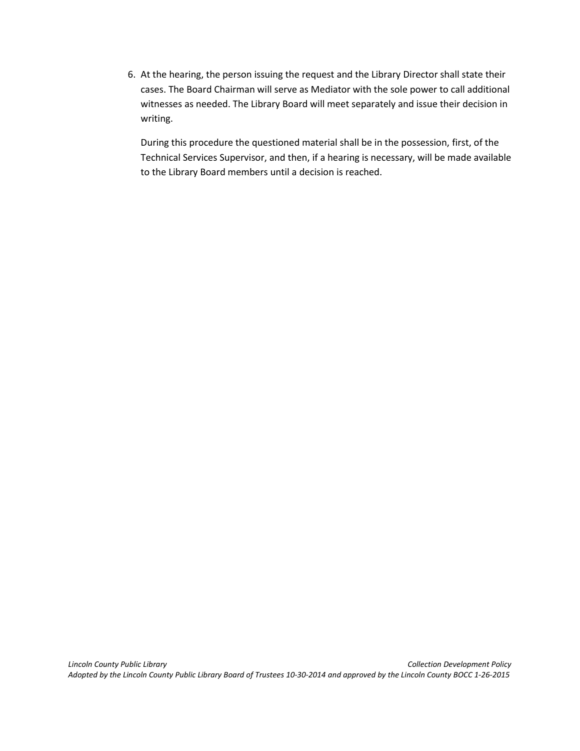6. At the hearing, the person issuing the request and the Library Director shall state their cases. The Board Chairman will serve as Mediator with the sole power to call additional witnesses as needed. The Library Board will meet separately and issue their decision in writing.

During this procedure the questioned material shall be in the possession, first, of the Technical Services Supervisor, and then, if a hearing is necessary, will be made available to the Library Board members until a decision is reached.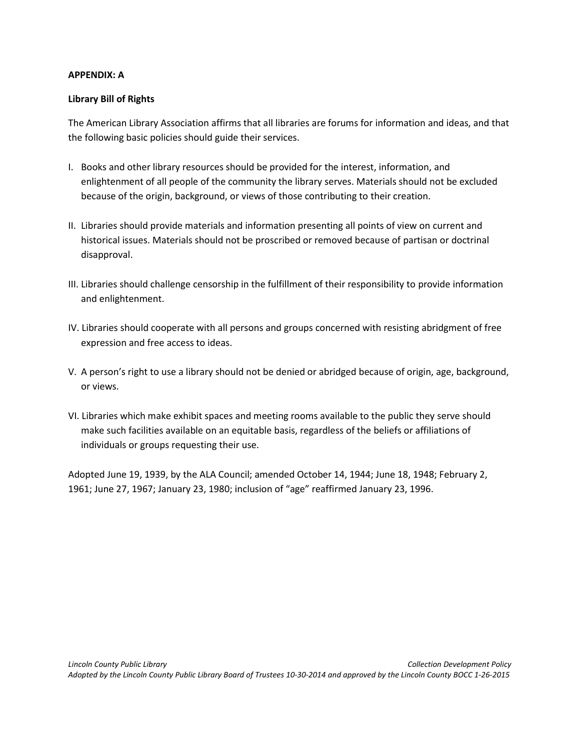# **APPENDIX: A**

# **Library Bill of Rights**

The American Library Association affirms that all libraries are forums for information and ideas, and that the following basic policies should guide their services.

- I. Books and other library resources should be provided for the interest, information, and enlightenment of all people of the community the library serves. Materials should not be excluded because of the origin, background, or views of those contributing to their creation.
- II. Libraries should provide materials and information presenting all points of view on current and historical issues. Materials should not be proscribed or removed because of partisan or doctrinal disapproval.
- III. Libraries should challenge censorship in the fulfillment of their responsibility to provide information and enlightenment.
- IV. Libraries should cooperate with all persons and groups concerned with resisting abridgment of free expression and free access to ideas.
- V. A person's right to use a library should not be denied or abridged because of origin, age, background, or views.
- VI. Libraries which make exhibit spaces and meeting rooms available to the public they serve should make such facilities available on an equitable basis, regardless of the beliefs or affiliations of individuals or groups requesting their use.

Adopted June 19, 1939, by the ALA Council; amended October 14, 1944; June 18, 1948; February 2, 1961; June 27, 1967; January 23, 1980; inclusion of "age" reaffirmed January 23, 1996.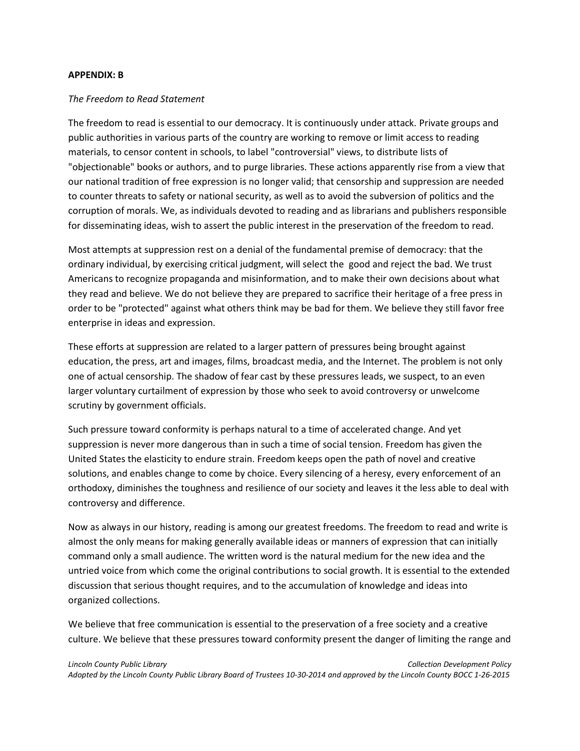## **APPENDIX: B**

#### *The Freedom to Read Statement*

The freedom to read is essential to our democracy. It is continuously under attack. Private groups and public authorities in various parts of the country are working to remove or limit access to reading materials, to censor content in schools, to label "controversial" views, to distribute lists of "objectionable" books or authors, and to purge libraries. These actions apparently rise from a view that our national tradition of free expression is no longer valid; that censorship and suppression are needed to counter threats to safety or national security, as well as to avoid the subversion of politics and the corruption of morals. We, as individuals devoted to reading and as librarians and publishers responsible for disseminating ideas, wish to assert the public interest in the preservation of the freedom to read.

Most attempts at suppression rest on a denial of the fundamental premise of democracy: that the ordinary individual, by exercising critical judgment, will select the good and reject the bad. We trust Americans to recognize propaganda and misinformation, and to make their own decisions about what they read and believe. We do not believe they are prepared to sacrifice their heritage of a free press in order to be "protected" against what others think may be bad for them. We believe they still favor free enterprise in ideas and expression.

These efforts at suppression are related to a larger pattern of pressures being brought against education, the press, art and images, films, broadcast media, and the Internet. The problem is not only one of actual censorship. The shadow of fear cast by these pressures leads, we suspect, to an even larger voluntary curtailment of expression by those who seek to avoid controversy or unwelcome scrutiny by government officials.

Such pressure toward conformity is perhaps natural to a time of accelerated change. And yet suppression is never more dangerous than in such a time of social tension. Freedom has given the United States the elasticity to endure strain. Freedom keeps open the path of novel and creative solutions, and enables change to come by choice. Every silencing of a heresy, every enforcement of an orthodoxy, diminishes the toughness and resilience of our society and leaves it the less able to deal with controversy and difference.

Now as always in our history, reading is among our greatest freedoms. The freedom to read and write is almost the only means for making generally available ideas or manners of expression that can initially command only a small audience. The written word is the natural medium for the new idea and the untried voice from which come the original contributions to social growth. It is essential to the extended discussion that serious thought requires, and to the accumulation of knowledge and ideas into organized collections.

We believe that free communication is essential to the preservation of a free society and a creative culture. We believe that these pressures toward conformity present the danger of limiting the range and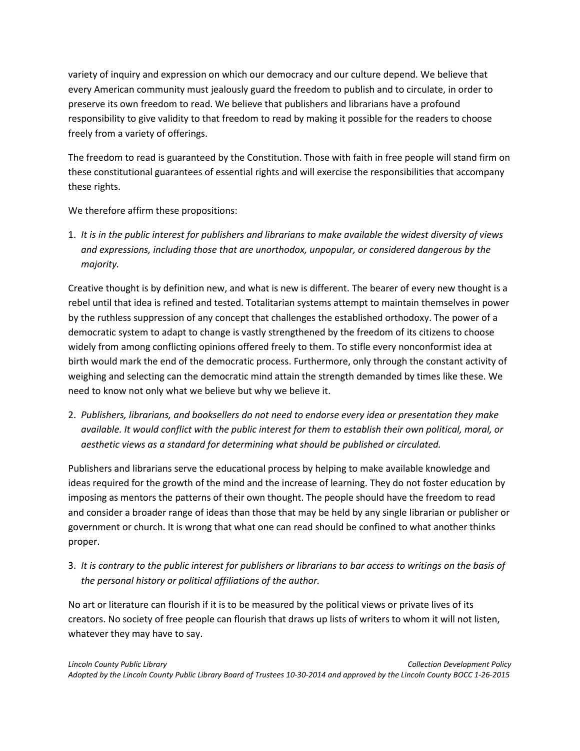variety of inquiry and expression on which our democracy and our culture depend. We believe that every American community must jealously guard the freedom to publish and to circulate, in order to preserve its own freedom to read. We believe that publishers and librarians have a profound responsibility to give validity to that freedom to read by making it possible for the readers to choose freely from a variety of offerings.

The freedom to read is guaranteed by the Constitution. Those with faith in free people will stand firm on these constitutional guarantees of essential rights and will exercise the responsibilities that accompany these rights.

We therefore affirm these propositions:

1. *It is in the public interest for publishers and librarians to make available the widest diversity of views and expressions, including those that are unorthodox, unpopular, or considered dangerous by the majority.*

Creative thought is by definition new, and what is new is different. The bearer of every new thought is a rebel until that idea is refined and tested. Totalitarian systems attempt to maintain themselves in power by the ruthless suppression of any concept that challenges the established orthodoxy. The power of a democratic system to adapt to change is vastly strengthened by the freedom of its citizens to choose widely from among conflicting opinions offered freely to them. To stifle every nonconformist idea at birth would mark the end of the democratic process. Furthermore, only through the constant activity of weighing and selecting can the democratic mind attain the strength demanded by times like these. We need to know not only what we believe but why we believe it.

2. *Publishers, librarians, and booksellers do not need to endorse every idea or presentation they make available. It would conflict with the public interest for them to establish their own political, moral, or aesthetic views as a standard for determining what should be published or circulated.*

Publishers and librarians serve the educational process by helping to make available knowledge and ideas required for the growth of the mind and the increase of learning. They do not foster education by imposing as mentors the patterns of their own thought. The people should have the freedom to read and consider a broader range of ideas than those that may be held by any single librarian or publisher or government or church. It is wrong that what one can read should be confined to what another thinks proper.

3. *It is contrary to the public interest for publishers or librarians to bar access to writings on the basis of the personal history or political affiliations of the author.*

No art or literature can flourish if it is to be measured by the political views or private lives of its creators. No society of free people can flourish that draws up lists of writers to whom it will not listen, whatever they may have to say.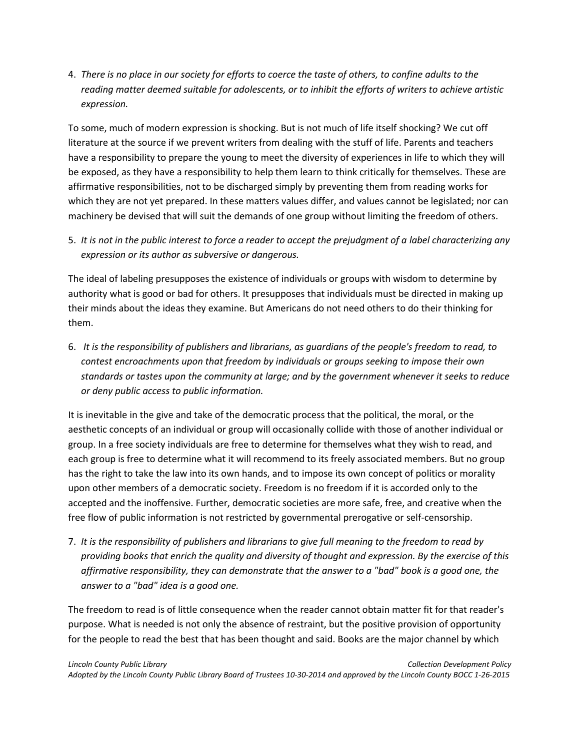4. *There is no place in our society for efforts to coerce the taste of others, to confine adults to the reading matter deemed suitable for adolescents, or to inhibit the efforts of writers to achieve artistic expression.*

To some, much of modern expression is shocking. But is not much of life itself shocking? We cut off literature at the source if we prevent writers from dealing with the stuff of life. Parents and teachers have a responsibility to prepare the young to meet the diversity of experiences in life to which they will be exposed, as they have a responsibility to help them learn to think critically for themselves. These are affirmative responsibilities, not to be discharged simply by preventing them from reading works for which they are not yet prepared. In these matters values differ, and values cannot be legislated; nor can machinery be devised that will suit the demands of one group without limiting the freedom of others.

5. *It is not in the public interest to force a reader to accept the prejudgment of a label characterizing any expression or its author as subversive or dangerous.*

The ideal of labeling presupposes the existence of individuals or groups with wisdom to determine by authority what is good or bad for others. It presupposes that individuals must be directed in making up their minds about the ideas they examine. But Americans do not need others to do their thinking for them.

6. *It is the responsibility of publishers and librarians, as guardians of the people's freedom to read, to contest encroachments upon that freedom by individuals or groups seeking to impose their own standards or tastes upon the community at large; and by the government whenever it seeks to reduce or deny public access to public information.*

It is inevitable in the give and take of the democratic process that the political, the moral, or the aesthetic concepts of an individual or group will occasionally collide with those of another individual or group. In a free society individuals are free to determine for themselves what they wish to read, and each group is free to determine what it will recommend to its freely associated members. But no group has the right to take the law into its own hands, and to impose its own concept of politics or morality upon other members of a democratic society. Freedom is no freedom if it is accorded only to the accepted and the inoffensive. Further, democratic societies are more safe, free, and creative when the free flow of public information is not restricted by governmental prerogative or self-censorship.

7. *It is the responsibility of publishers and librarians to give full meaning to the freedom to read by providing books that enrich the quality and diversity of thought and expression. By the exercise of this affirmative responsibility, they can demonstrate that the answer to a "bad" book is a good one, the answer to a "bad" idea is a good one.*

The freedom to read is of little consequence when the reader cannot obtain matter fit for that reader's purpose. What is needed is not only the absence of restraint, but the positive provision of opportunity for the people to read the best that has been thought and said. Books are the major channel by which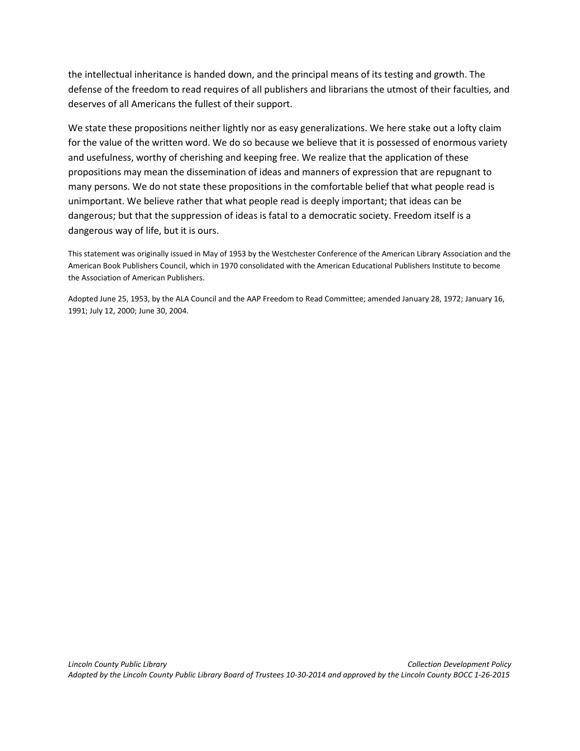the intellectual inheritance is handed down, and the principal means of its testing and growth. The defense of the freedom to read requires of all publishers and librarians the utmost of their faculties, and deserves of all Americans the fullest of their support.

We state these propositions neither lightly nor as easy generalizations. We here stake out a lofty claim for the value of the written word. We do so because we believe that it is possessed of enormous variety and usefulness, worthy of cherishing and keeping free. We realize that the application of these propositions may mean the dissemination of ideas and manners of expression that are repugnant to many persons. We do not state these propositions in the comfortable belief that what people read is unimportant. We believe rather that what people read is deeply important; that ideas can be dangerous; but that the suppression of ideas is fatal to a democratic society. Freedom itself is a dangerous way of life, but it is ours.

This statement was originally issued in May of 1953 by the Westchester Conference of the American Library Association and the American Book Publishers Council, which in 1970 consolidated with the American Educational Publishers Institute to become the Association of American Publishers.

Adopted June 25, 1953, by the ALA Council and the AAP Freedom to Read Committee; amended January 28, 1972; January 16, 1991; July 12, 2000; June 30, 2004.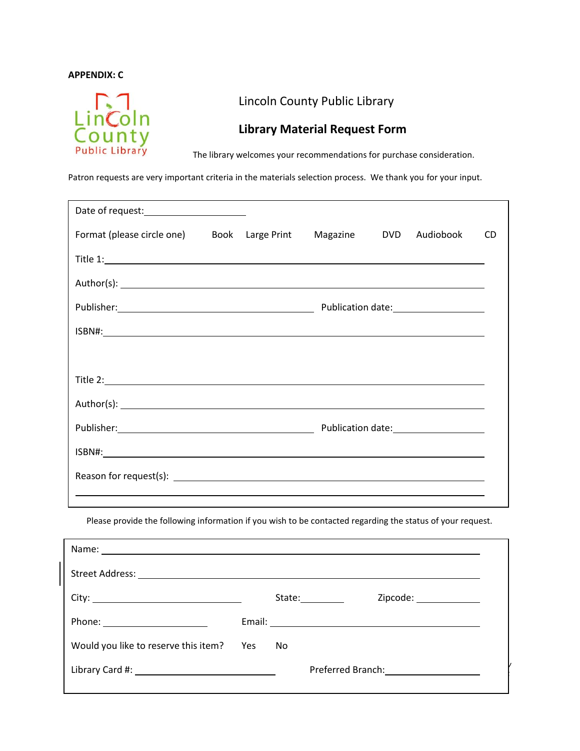# **APPENDIX: C**



Lincoln County Public Library

# **Library Material Request Form**

The library welcomes your recommendations for purchase consideration.

Patron requests are very important criteria in the materials selection process. We thank you for your input.

| Format (please circle one) Book Large Print                                                                                                                                                                                   |  | Magazine | <b>DVD</b> | Audiobook | CD. |
|-------------------------------------------------------------------------------------------------------------------------------------------------------------------------------------------------------------------------------|--|----------|------------|-----------|-----|
| Title 1: The Commission of the Commission of the Commission of the Commission of the Commission of the Commission of the Commission of the Commission of the Commission of the Commission of the Commission of the Commission |  |          |            |           |     |
|                                                                                                                                                                                                                               |  |          |            |           |     |
|                                                                                                                                                                                                                               |  |          |            |           |     |
|                                                                                                                                                                                                                               |  |          |            |           |     |
|                                                                                                                                                                                                                               |  |          |            |           |     |
|                                                                                                                                                                                                                               |  |          |            |           |     |
|                                                                                                                                                                                                                               |  |          |            |           |     |
|                                                                                                                                                                                                                               |  |          |            |           |     |
|                                                                                                                                                                                                                               |  |          |            |           |     |
|                                                                                                                                                                                                                               |  |          |            |           |     |
|                                                                                                                                                                                                                               |  |          |            |           |     |

Please provide the following information if you wish to be contacted regarding the status of your request.

| Name: 1990 - 1990 - 1991 - 1992 - 1993 - 1994 - 1994 - 1994 - 1994 - 1994 - 1994 - 1994 - 1994 - 1994 - 1995 - |  |                                          |  |
|----------------------------------------------------------------------------------------------------------------|--|------------------------------------------|--|
|                                                                                                                |  |                                          |  |
|                                                                                                                |  | Zipcode: 2000<br>State:                  |  |
|                                                                                                                |  |                                          |  |
| Would you like to reserve this item? Yes No                                                                    |  |                                          |  |
|                                                                                                                |  | Preferred Branch: ______________________ |  |
|                                                                                                                |  |                                          |  |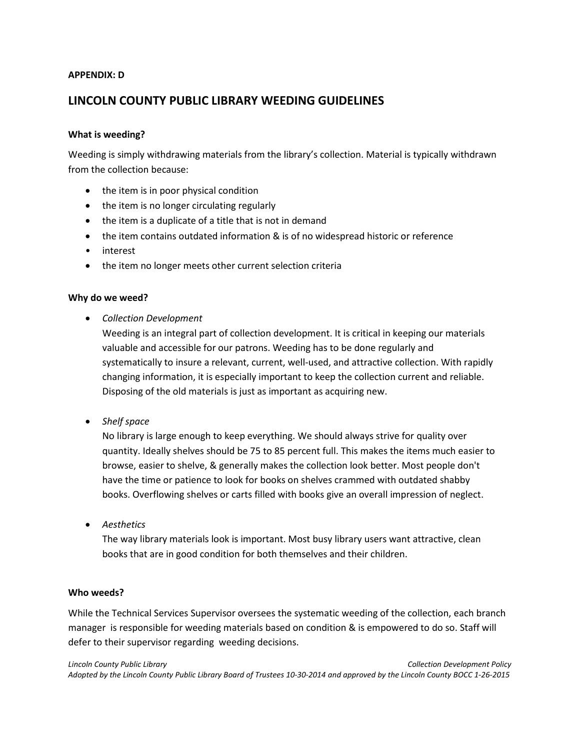# **APPENDIX: D**

# **LINCOLN COUNTY PUBLIC LIBRARY WEEDING GUIDELINES**

# **What is weeding?**

Weeding is simply withdrawing materials from the library's collection. Material is typically withdrawn from the collection because:

- the item is in poor physical condition
- the item is no longer circulating regularly
- the item is a duplicate of a title that is not in demand
- the item contains outdated information & is of no widespread historic or reference
- interest
- the item no longer meets other current selection criteria

# **Why do we weed?**

*Collection Development*

Weeding is an integral part of collection development. It is critical in keeping our materials valuable and accessible for our patrons. Weeding has to be done regularly and systematically to insure a relevant, current, well‐used, and attractive collection. With rapidly changing information, it is especially important to keep the collection current and reliable. Disposing of the old materials is just as important as acquiring new.

*Shelf space*

No library is large enough to keep everything. We should always strive for quality over quantity. Ideally shelves should be 75 to 85 percent full. This makes the items much easier to browse, easier to shelve, & generally makes the collection look better. Most people don't have the time or patience to look for books on shelves crammed with outdated shabby books. Overflowing shelves or carts filled with books give an overall impression of neglect.

*Aesthetics*

The way library materials look is important. Most busy library users want attractive, clean books that are in good condition for both themselves and their children.

## **Who weeds?**

While the Technical Services Supervisor oversees the systematic weeding of the collection, each branch manager is responsible for weeding materials based on condition & is empowered to do so. Staff will defer to their supervisor regarding weeding decisions.

*Lincoln County Public Library Collection Development Policy Adopted by the Lincoln County Public Library Board of Trustees 10‐30‐2014 and approved by the Lincoln County BOCC 1-26-2015*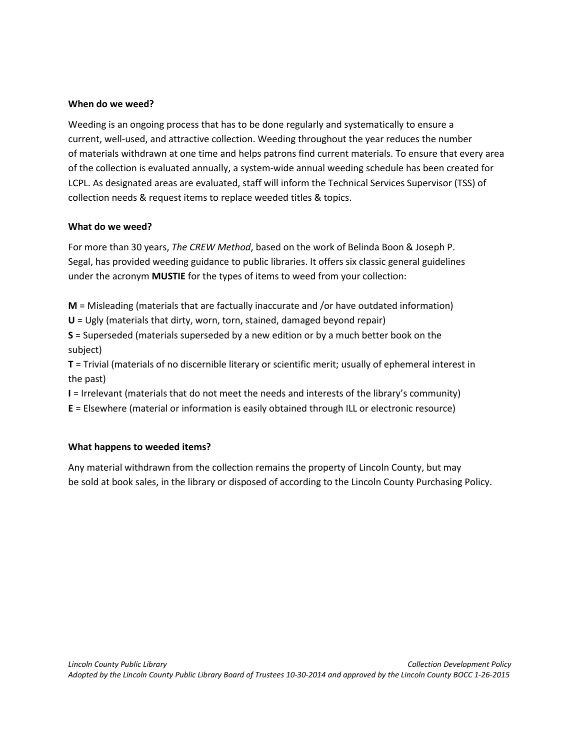# **When do we weed?**

Weeding is an ongoing process that has to be done regularly and systematically to ensure a current, well‐used, and attractive collection. Weeding throughout the year reduces the number of materials withdrawn at one time and helps patrons find current materials. To ensure that every area of the collection is evaluated annually, a system‐wide annual weeding schedule has been created for LCPL. As designated areas are evaluated, staff will inform the Technical Services Supervisor (TSS) of collection needs & request items to replace weeded titles & topics.

# **What do we weed?**

For more than 30 years, *The CREW Method*, based on the work of Belinda Boon & Joseph P. Segal, has provided weeding guidance to public libraries. It offers six classic general guidelines under the acronym **MUSTIE** for the types of items to weed from your collection:

**M** = Misleading (materials that are factually inaccurate and /or have outdated information)

**U** = Ugly (materials that dirty, worn, torn, stained, damaged beyond repair)

**S** = Superseded (materials superseded by a new edition or by a much better book on the subject)

**T** = Trivial (materials of no discernible literary or scientific merit; usually of ephemeral interest in the past)

**I** = Irrelevant (materials that do not meet the needs and interests of the library's community)

**E** = Elsewhere (material or information is easily obtained through ILL or electronic resource)

## **What happens to weeded items?**

Any material withdrawn from the collection remains the property of Lincoln County, but may be sold at book sales, in the library or disposed of according to the Lincoln County Purchasing Policy.